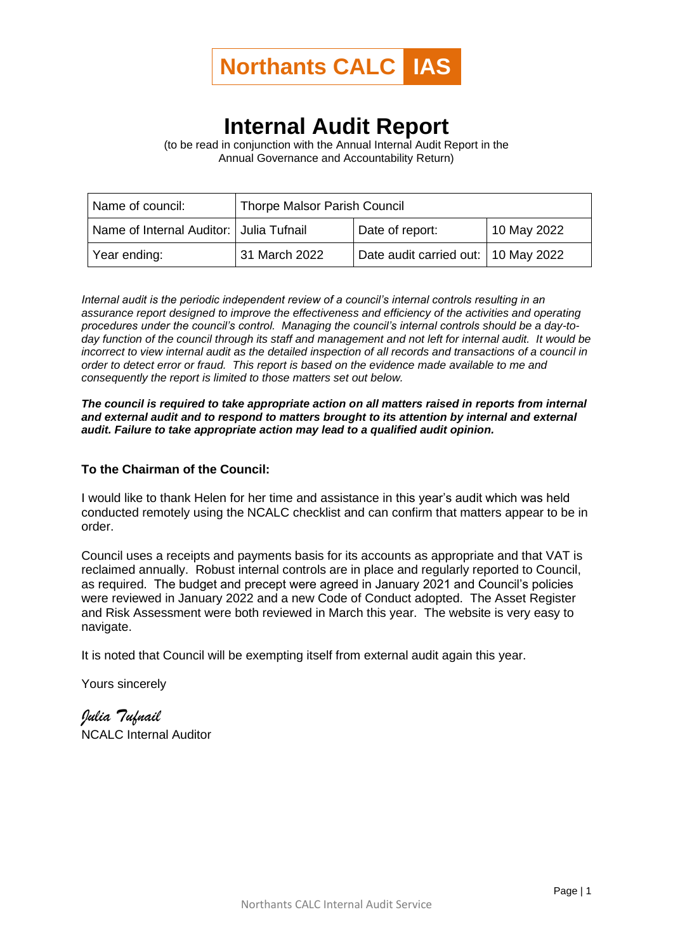

## **Internal Audit Report**

(to be read in conjunction with the Annual Internal Audit Report in the Annual Governance and Accountability Return)

| Name of council:                          | <b>Thorpe Malsor Parish Council</b> |                                     |             |  |
|-------------------------------------------|-------------------------------------|-------------------------------------|-------------|--|
| Name of Internal Auditor:   Julia Tufnail |                                     | Date of report:                     | 10 May 2022 |  |
| Year ending:                              | 31 March 2022                       | Date audit carried out: 10 May 2022 |             |  |

*Internal audit is the periodic independent review of a council's internal controls resulting in an assurance report designed to improve the effectiveness and efficiency of the activities and operating procedures under the council's control. Managing the council's internal controls should be a day-today function of the council through its staff and management and not left for internal audit. It would be incorrect to view internal audit as the detailed inspection of all records and transactions of a council in order to detect error or fraud. This report is based on the evidence made available to me and consequently the report is limited to those matters set out below.*

*The council is required to take appropriate action on all matters raised in reports from internal and external audit and to respond to matters brought to its attention by internal and external audit. Failure to take appropriate action may lead to a qualified audit opinion.*

## **To the Chairman of the Council:**

I would like to thank Helen for her time and assistance in this year's audit which was held conducted remotely using the NCALC checklist and can confirm that matters appear to be in order.

Council uses a receipts and payments basis for its accounts as appropriate and that VAT is reclaimed annually. Robust internal controls are in place and regularly reported to Council, as required. The budget and precept were agreed in January 2021 and Council's policies were reviewed in January 2022 and a new Code of Conduct adopted. The Asset Register and Risk Assessment were both reviewed in March this year. The website is very easy to navigate.

It is noted that Council will be exempting itself from external audit again this year.

Yours sincerely

*Julia Tufnail* NCALC Internal Auditor